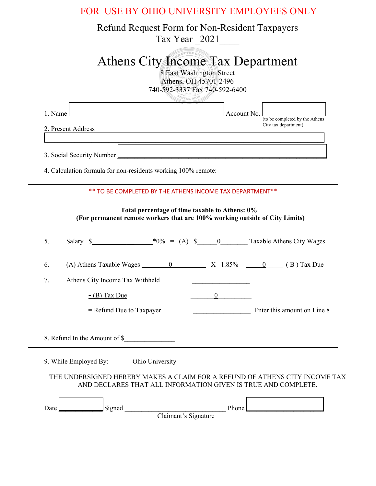| FOR USE BY OHIO UNIVERSITY EMPLOYEES ONLY                                                                                                                                                                                                                                                                                   |  |  |  |  |  |  |
|-----------------------------------------------------------------------------------------------------------------------------------------------------------------------------------------------------------------------------------------------------------------------------------------------------------------------------|--|--|--|--|--|--|
| Refund Request Form for Non-Resident Taxpayers<br>Tax Year 2021                                                                                                                                                                                                                                                             |  |  |  |  |  |  |
| Athens City Income Tax Department<br>8 East Washington Street<br>Athens, OH 45701-2496<br>740-592-3337 Fax 740-592-6400<br><b>THENS, OHIC</b>                                                                                                                                                                               |  |  |  |  |  |  |
| Account No.<br>1. Name<br>(to be completed by the Athens                                                                                                                                                                                                                                                                    |  |  |  |  |  |  |
| City tax department)<br>2. Present Address                                                                                                                                                                                                                                                                                  |  |  |  |  |  |  |
| 3. Social Security Number                                                                                                                                                                                                                                                                                                   |  |  |  |  |  |  |
| 4. Calculation formula for non-residents working 100% remote:                                                                                                                                                                                                                                                               |  |  |  |  |  |  |
| ** TO BE COMPLETED BY THE ATHENS INCOME TAX DEPARTMENT**                                                                                                                                                                                                                                                                    |  |  |  |  |  |  |
| Total percentage of time taxable to Athens: 0%<br>(For permanent remote workers that are 100% working outside of City Limits)                                                                                                                                                                                               |  |  |  |  |  |  |
| Salary $\frac{1}{2}$ $\frac{1}{2}$ $\frac{1}{2}$ $\frac{1}{2}$ $\frac{1}{2}$ $\frac{1}{2}$ $\frac{1}{2}$ $\frac{1}{2}$ $\frac{1}{2}$ $\frac{1}{2}$ $\frac{1}{2}$ $\frac{1}{2}$ $\frac{1}{2}$ $\frac{1}{2}$ $\frac{1}{2}$ $\frac{1}{2}$ $\frac{1}{2}$ $\frac{1}{2}$ $\frac{1}{2}$ $\frac{1}{2}$ $\frac{1}{2}$ $\frac{$<br>5. |  |  |  |  |  |  |
| 6.                                                                                                                                                                                                                                                                                                                          |  |  |  |  |  |  |
| 7.<br>Athens City Income Tax Withheld                                                                                                                                                                                                                                                                                       |  |  |  |  |  |  |
| $-$ (B) Tax Due<br>$\boldsymbol{0}$                                                                                                                                                                                                                                                                                         |  |  |  |  |  |  |
| Enter this amount on Line 8<br>$=$ Refund Due to Taxpayer                                                                                                                                                                                                                                                                   |  |  |  |  |  |  |
| 8. Refund In the Amount of \$                                                                                                                                                                                                                                                                                               |  |  |  |  |  |  |
| 9. While Employed By:<br>Ohio University                                                                                                                                                                                                                                                                                    |  |  |  |  |  |  |

## THE UNDERSIGNED HEREBY MAKES A CLAIM FOR A REFUND OF ATHENS CITY INCOME TAX AND DECLARES THAT ALL INFORMATION GIVEN IS TRUE AND COMPLETE.

| Date | igned<br>ັບ |                      | $\Phi$ hone |  |
|------|-------------|----------------------|-------------|--|
|      |             | Claimant's Signature |             |  |